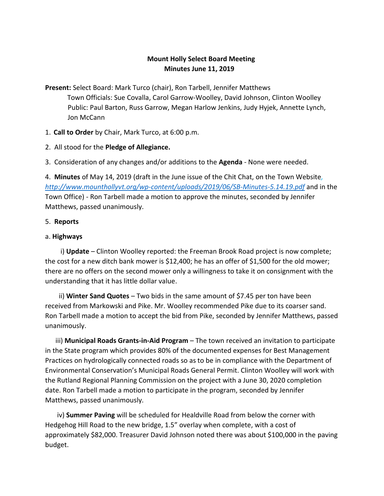# **Mount Holly Select Board Meeting Minutes June 11, 2019**

**Present:** Select Board: Mark Turco (chair), Ron Tarbell, Jennifer Matthews Town Officials: Sue Covalla, Carol Garrow-Woolley, David Johnson, Clinton Woolley Public: Paul Barton, Russ Garrow, Megan Harlow Jenkins, Judy Hyjek, Annette Lynch, Jon McCann

1. **Call to Order** by Chair, Mark Turco, at 6:00 p.m.

- 2. All stood for the **Pledge of Allegiance.**
- 3. Consideration of any changes and/or additions to the **Agenda** None were needed.

4. **Minutes** of May 14, 2019 (draft in the June issue of the Chit Chat, on the Town Website*, <http://www.mounthollyvt.org/wp-content/uploads/2019/06/SB-Minutes-5.14.19.pdf>* and in the Town Office) - Ron Tarbell made a motion to approve the minutes, seconded by Jennifer Matthews, passed unanimously.

#### 5. **Reports**

#### a. **Highways**

 i) **Update** – Clinton Woolley reported: the Freeman Brook Road project is now complete; the cost for a new ditch bank mower is \$12,400; he has an offer of \$1,500 for the old mower; there are no offers on the second mower only a willingness to take it on consignment with the understanding that it has little dollar value.

 ii) **Winter Sand Quotes** – Two bids in the same amount of \$7.45 per ton have been received from Markowski and Pike. Mr. Woolley recommended Pike due to its coarser sand. Ron Tarbell made a motion to accept the bid from Pike, seconded by Jennifer Matthews, passed unanimously.

 iii) **Municipal Roads Grants-in-Aid Program** – The town received an invitation to participate in the State program which provides 80% of the documented expenses for Best Management Practices on hydrologically connected roads so as to be in compliance with the Department of Environmental Conservation's Municipal Roads General Permit. Clinton Woolley will work with the Rutland Regional Planning Commission on the project with a June 30, 2020 completion date. Ron Tarbell made a motion to participate in the program, seconded by Jennifer Matthews, passed unanimously.

 iv) **Summer Paving** will be scheduled for Healdville Road from below the corner with Hedgehog Hill Road to the new bridge, 1.5" overlay when complete, with a cost of approximately \$82,000. Treasurer David Johnson noted there was about \$100,000 in the paving budget.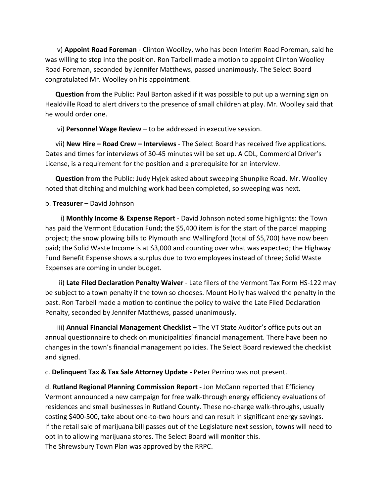v) **Appoint Road Foreman** - Clinton Woolley, who has been Interim Road Foreman, said he was willing to step into the position. Ron Tarbell made a motion to appoint Clinton Woolley Road Foreman, seconded by Jennifer Matthews, passed unanimously. The Select Board congratulated Mr. Woolley on his appointment.

 **Question** from the Public: Paul Barton asked if it was possible to put up a warning sign on Healdville Road to alert drivers to the presence of small children at play. Mr. Woolley said that he would order one.

vi) **Personnel Wage Review** – to be addressed in executive session.

 vii) **New Hire – Road Crew – Interviews** - The Select Board has received five applications. Dates and times for interviews of 30-45 minutes will be set up. A CDL, Commercial Driver's License, is a requirement for the position and a prerequisite for an interview.

 **Question** from the Public: Judy Hyjek asked about sweeping Shunpike Road. Mr. Woolley noted that ditching and mulching work had been completed, so sweeping was next.

### b. **Treasurer** – David Johnson

 i) **Monthly Income & Expense Report** - David Johnson noted some highlights: the Town has paid the Vermont Education Fund; the \$5,400 item is for the start of the parcel mapping project; the snow plowing bills to Plymouth and Wallingford (total of \$5,700) have now been paid; the Solid Waste Income is at \$3,000 and counting over what was expected; the Highway Fund Benefit Expense shows a surplus due to two employees instead of three; Solid Waste Expenses are coming in under budget.

 ii) **Late Filed Declaration Penalty Waiver** - Late filers of the Vermont Tax Form HS-122 may be subject to a town penalty if the town so chooses. Mount Holly has waived the penalty in the past. Ron Tarbell made a motion to continue the policy to waive the Late Filed Declaration Penalty, seconded by Jennifer Matthews, passed unanimously.

 iii) **Annual Financial Management Checklist** – The VT State Auditor's office puts out an annual questionnaire to check on municipalities' financial management. There have been no changes in the town's financial management policies. The Select Board reviewed the checklist and signed.

c. **Delinquent Tax & Tax Sale Attorney Update** - Peter Perrino was not present.

d. **Rutland Regional Planning Commission Report -** Jon McCann reported that Efficiency Vermont announced a new campaign for free walk-through energy efficiency evaluations of residences and small businesses in Rutland County. These no-charge walk-throughs, usually costing \$400-500, take about one-to-two hours and can result in significant energy savings. If the retail sale of marijuana bill passes out of the Legislature next session, towns will need to opt in to allowing marijuana stores. The Select Board will monitor this. The Shrewsbury Town Plan was approved by the RRPC.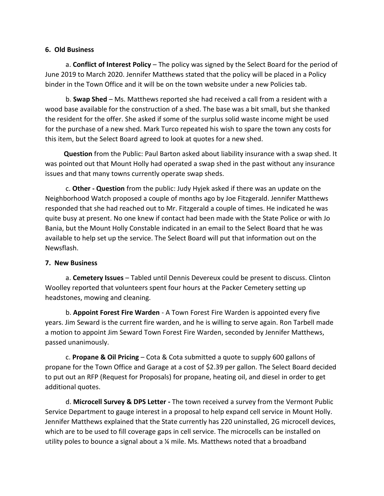#### **6. Old Business**

 a. **Conflict of Interest Policy** – The policy was signed by the Select Board for the period of June 2019 to March 2020. Jennifer Matthews stated that the policy will be placed in a Policy binder in the Town Office and it will be on the town website under a new Policies tab.

 b. **Swap Shed** – Ms. Matthews reported she had received a call from a resident with a wood base available for the construction of a shed. The base was a bit small, but she thanked the resident for the offer. She asked if some of the surplus solid waste income might be used for the purchase of a new shed. Mark Turco repeated his wish to spare the town any costs for this item, but the Select Board agreed to look at quotes for a new shed.

 **Question** from the Public: Paul Barton asked about liability insurance with a swap shed. It was pointed out that Mount Holly had operated a swap shed in the past without any insurance issues and that many towns currently operate swap sheds.

 c. **Other - Question** from the public: Judy Hyjek asked if there was an update on the Neighborhood Watch proposed a couple of months ago by Joe Fitzgerald. Jennifer Matthews responded that she had reached out to Mr. Fitzgerald a couple of times. He indicated he was quite busy at present. No one knew if contact had been made with the State Police or with Jo Bania, but the Mount Holly Constable indicated in an email to the Select Board that he was available to help set up the service. The Select Board will put that information out on the Newsflash.

#### **7. New Business**

 a. **Cemetery Issues** – Tabled until Dennis Devereux could be present to discuss. Clinton Woolley reported that volunteers spent four hours at the Packer Cemetery setting up headstones, mowing and cleaning.

 b. **Appoint Forest Fire Warden** - A Town Forest Fire Warden is appointed every five years. Jim Seward is the current fire warden, and he is willing to serve again. Ron Tarbell made a motion to appoint Jim Seward Town Forest Fire Warden, seconded by Jennifer Matthews, passed unanimously.

 c. **Propane & Oil Pricing** – Cota & Cota submitted a quote to supply 600 gallons of propane for the Town Office and Garage at a cost of \$2.39 per gallon. The Select Board decided to put out an RFP (Request for Proposals) for propane, heating oil, and diesel in order to get additional quotes.

 d. **Microcell Survey & DPS Letter -** The town received a survey from the Vermont Public Service Department to gauge interest in a proposal to help expand cell service in Mount Holly. Jennifer Matthews explained that the State currently has 220 uninstalled, 2G microcell devices, which are to be used to fill coverage gaps in cell service. The microcells can be installed on utility poles to bounce a signal about a ¼ mile. Ms. Matthews noted that a broadband